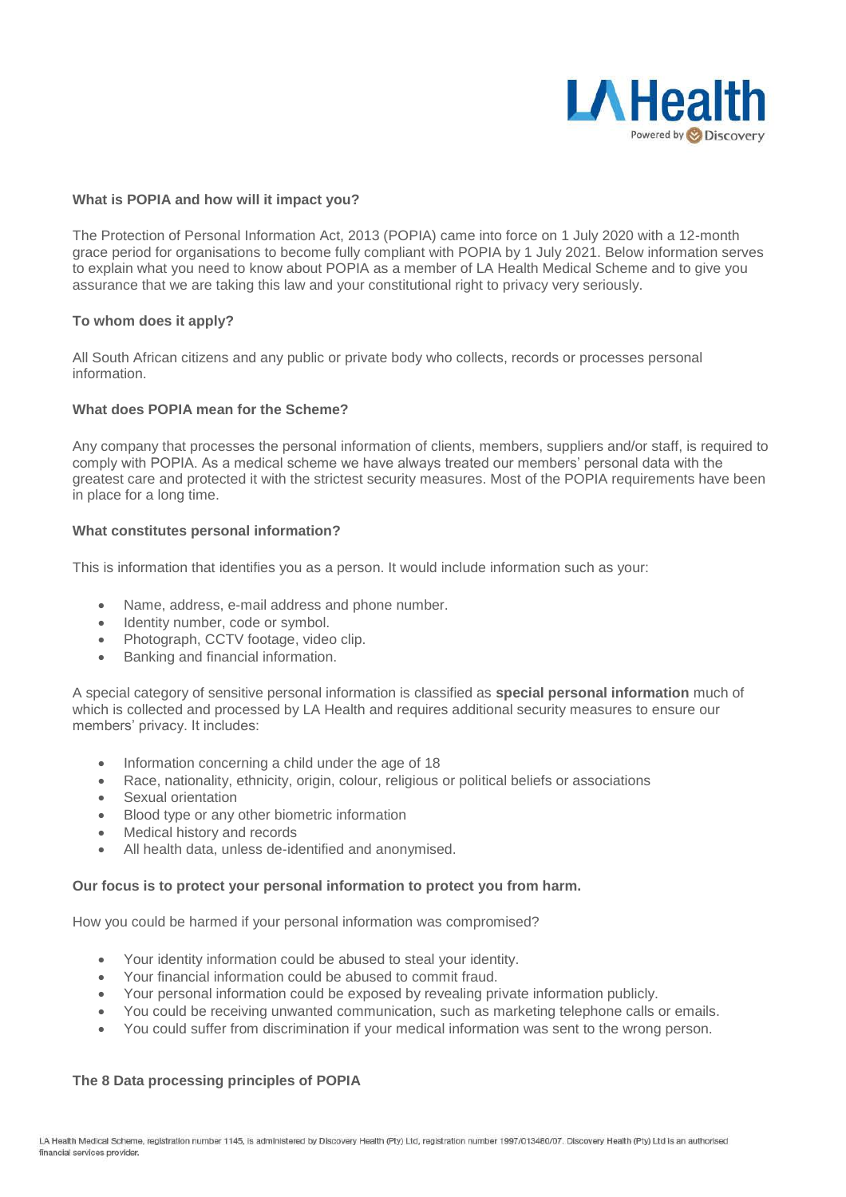

#### **What is POPIA and how will it impact you?**

The Protection of Personal Information Act, 2013 (POPIA) came into force on 1 July 2020 with a 12-month grace period for organisations to become fully compliant with POPIA by 1 July 2021. Below information serves to explain what you need to know about POPIA as a member of LA Health Medical Scheme and to give you assurance that we are taking this law and your constitutional right to privacy very seriously.

### **To whom does it apply?**

All South African citizens and any public or private body who collects, records or processes personal information.

# **What does POPIA mean for the Scheme?**

Any company that processes the personal information of clients, members, suppliers and/or staff, is required to comply with POPIA. As a medical scheme we have always treated our members' personal data with the greatest care and protected it with the strictest security measures. Most of the POPIA requirements have been in place for a long time.

### **What constitutes personal information?**

This is information that identifies you as a person. It would include information such as your:

- Name, address, e-mail address and phone number.
- Identity number, code or symbol.
- Photograph, CCTV footage, video clip.
- Banking and financial information.

A special category of sensitive personal information is classified as **special personal information** much of which is collected and processed by LA Health and requires additional security measures to ensure our members' privacy. It includes:

- Information concerning a child under the age of 18
- Race, nationality, ethnicity, origin, colour, religious or political beliefs or associations
- Sexual orientation
- Blood type or any other biometric information
- Medical history and records
- All health data, unless de-identified and anonymised.

#### **Our focus is to protect your personal information to protect you from harm.**

How you could be harmed if your personal information was compromised?

- Your identity information could be abused to steal your identity.
- Your financial information could be abused to commit fraud.
- Your personal information could be exposed by revealing private information publicly.
- You could be receiving unwanted communication, such as marketing telephone calls or emails.
- You could suffer from discrimination if your medical information was sent to the wrong person.

# **The 8 Data processing principles of POPIA**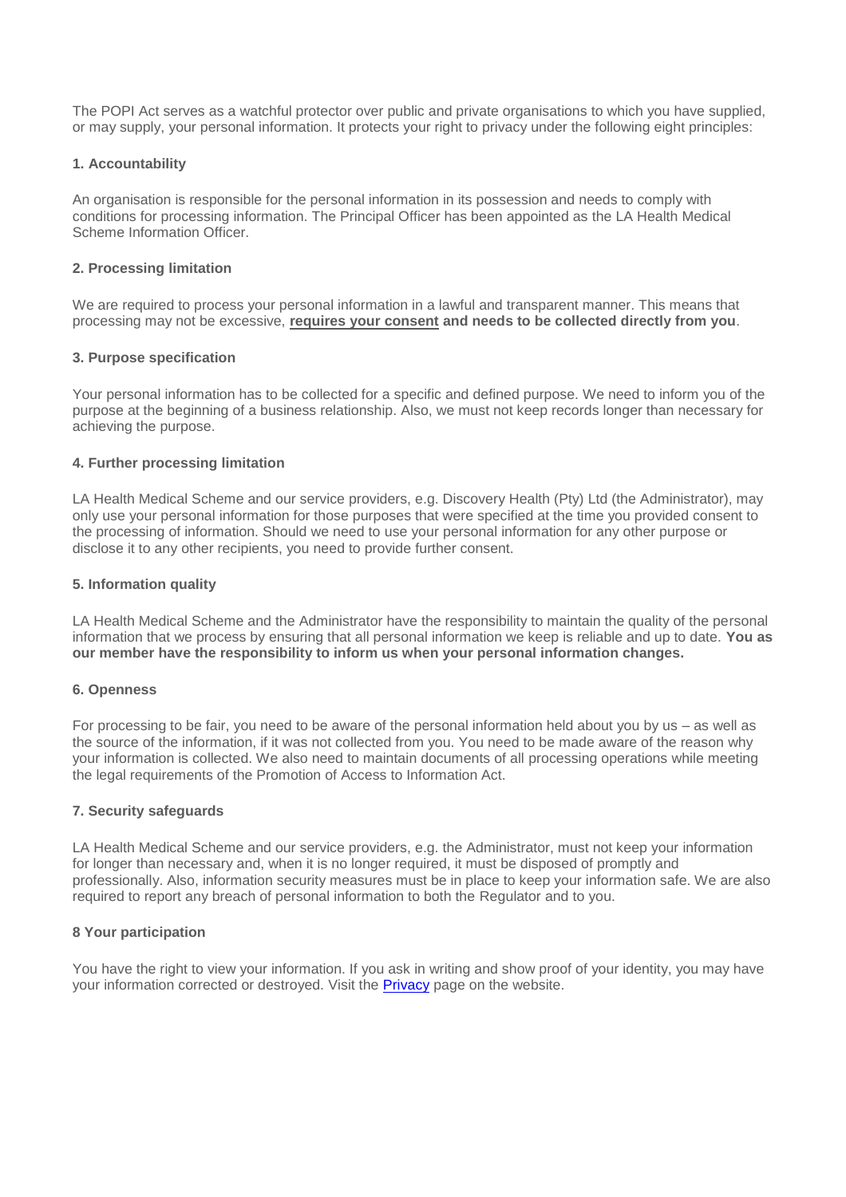The POPI Act serves as a watchful protector over public and private organisations to which you have supplied, or may supply, your personal information. It protects your right to privacy under the following eight principles:

### **1. Accountability**

An organisation is responsible for the personal information in its possession and needs to comply with conditions for processing information. The Principal Officer has been appointed as the LA Health Medical Scheme Information Officer.

### **2. Processing limitation**

We are required to process your personal information in a lawful and transparent manner. This means that processing may not be excessive, **requires your consent and needs to be collected directly from you**.

### **3. Purpose specification**

Your personal information has to be collected for a specific and defined purpose. We need to inform you of the purpose at the beginning of a business relationship. Also, we must not keep records longer than necessary for achieving the purpose.

### **4. Further processing limitation**

LA Health Medical Scheme and our service providers, e.g. Discovery Health (Pty) Ltd (the Administrator), may only use your personal information for those purposes that were specified at the time you provided consent to the processing of information. Should we need to use your personal information for any other purpose or disclose it to any other recipients, you need to provide further consent.

### **5. Information quality**

LA Health Medical Scheme and the Administrator have the responsibility to maintain the quality of the personal information that we process by ensuring that all personal information we keep is reliable and up to date. **You as our member have the responsibility to inform us when your personal information changes.**

#### **6. Openness**

For processing to be fair, you need to be aware of the personal information held about you by us – as well as the source of the information, if it was not collected from you. You need to be made aware of the reason why your information is collected. We also need to maintain documents of all processing operations while meeting the legal requirements of the Promotion of Access to Information Act.

#### **7. Security safeguards**

LA Health Medical Scheme and our service providers, e.g. the Administrator, must not keep your information for longer than necessary and, when it is no longer required, it must be disposed of promptly and professionally. Also, information security measures must be in place to keep your information safe. We are also required to report any breach of personal information to both the Regulator and to you.

# **8 Your participation**

You have the right to view your information. If you ask in writing and show proof of your identity, you may have your information corrected or destroyed. Visit the **Privacy** page on the website.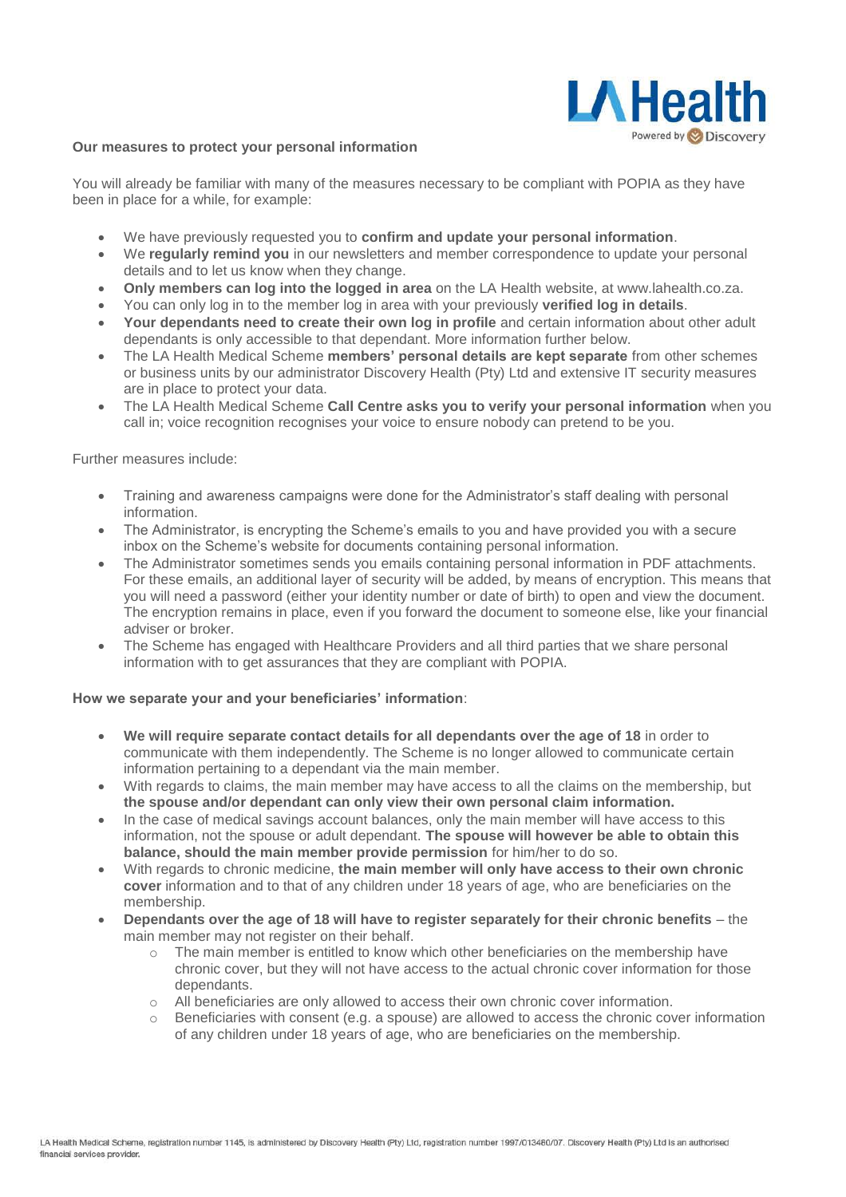

#### **Our measures to protect your personal information**

You will already be familiar with many of the measures necessary to be compliant with POPIA as they have been in place for a while, for example:

- We have previously requested you to **confirm and update your personal information**.
- We **regularly remind you** in our newsletters and member correspondence to update your personal details and to let us know when they change.
- **Only members can log into the logged in area** on the LA Health website, at www.lahealth.co.za.
- You can only log in to the member log in area with your previously **verified log in details**.
- **Your dependants need to create their own log in profile** and certain information about other adult dependants is only accessible to that dependant. More information further below.
- The LA Health Medical Scheme **members' personal details are kept separate** from other schemes or business units by our administrator Discovery Health (Pty) Ltd and extensive IT security measures are in place to protect your data.
- The LA Health Medical Scheme **Call Centre asks you to verify your personal information** when you call in; voice recognition recognises your voice to ensure nobody can pretend to be you.

Further measures include:

- Training and awareness campaigns were done for the Administrator's staff dealing with personal information.
- The Administrator, is encrypting the Scheme's emails to you and have provided you with a secure inbox on the Scheme's website for documents containing personal information.
- The Administrator sometimes sends you emails containing personal information in PDF attachments. For these emails, an additional layer of security will be added, by means of encryption. This means that you will need a password (either your identity number or date of birth) to open and view the document. The encryption remains in place, even if you forward the document to someone else, like your financial adviser or broker.
- The Scheme has engaged with Healthcare Providers and all third parties that we share personal information with to get assurances that they are compliant with POPIA.

#### **How we separate your and your beneficiaries' information**:

- **We will require separate contact details for all dependants over the age of 18** in order to communicate with them independently. The Scheme is no longer allowed to communicate certain information pertaining to a dependant via the main member.
- With regards to claims, the main member may have access to all the claims on the membership, but **the spouse and/or dependant can only view their own personal claim information.**
- In the case of medical savings account balances, only the main member will have access to this information, not the spouse or adult dependant. **The spouse will however be able to obtain this balance, should the main member provide permission** for him/her to do so.
- With regards to chronic medicine, **the main member will only have access to their own chronic cover** information and to that of any children under 18 years of age, who are beneficiaries on the membership.
- **Dependants over the age of 18 will have to register separately for their chronic benefits** the main member may not register on their behalf.
	- $\circ$  The main member is entitled to know which other beneficiaries on the membership have chronic cover, but they will not have access to the actual chronic cover information for those dependants.
	- o All beneficiaries are only allowed to access their own chronic cover information.
	- $\circ$  Beneficiaries with consent (e.g. a spouse) are allowed to access the chronic cover information of any children under 18 years of age, who are beneficiaries on the membership.